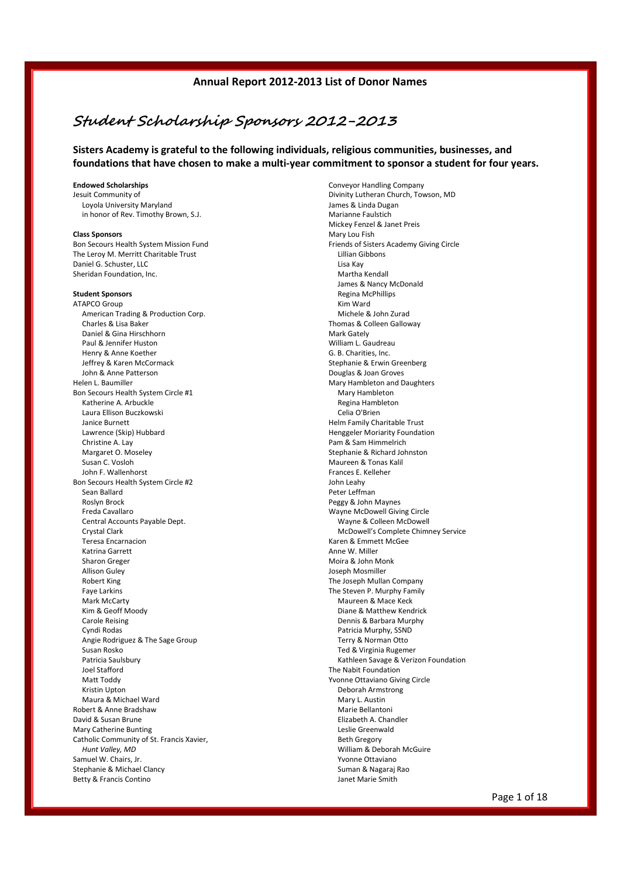# **Student Scholarship Sponsors 2012-2013**

**Sisters Academy is grateful to the following individuals, religious communities, businesses, and foundations that have chosen to make a multi-year commitment to sponsor a student for four years.**

#### **Endowed Scholarships**

Jesuit Community of Loyola University Maryland in honor of Rev. Timothy Brown, S.J.

#### **Class Sponsors**

Bon Secours Health System Mission Fund The Leroy M. Merritt Charitable Trust Daniel G. Schuster, LLC Sheridan Foundation, Inc.

#### **Student Sponsors**

ATAPCO Group American Trading & Production Corp. Charles & Lisa Baker Daniel & Gina Hirschhorn Paul & Jennifer Huston Henry & Anne Koether Jeffrey & Karen McCormack John & Anne Patterson Helen L. Baumiller Bon Secours Health System Circle #1 Katherine A. Arbuckle Laura Ellison Buczkowski Janice Burnett Lawrence (Skip) Hubbard Christine A. Lay Margaret O. Moseley Susan C. Vosloh John F. Wallenhorst Bon Secours Health System Circle #2 Sean Ballard Roslyn Brock Freda Cavallaro Central Accounts Payable Dept. Crystal Clark Teresa Encarnacion Katrina Garrett Sharon Greger Allison Guley Robert King Faye Larkins Mark McCarty Kim & Geoff Moody Carole Reising Cyndi Rodas Angie Rodriguez & The Sage Group Susan Rosko Patricia Saulsbury Joel Stafford Matt Toddy Kristin Upton Maura & Michael Ward Robert & Anne Bradshaw David & Susan Brune Mary Catherine Bunting Catholic Community of St. Francis Xavier, *Hunt Valley, MD* Samuel W. Chairs, Jr. Stephanie & Michael Clancy Betty & Francis Contino

Conveyor Handling Company Divinity Lutheran Church, Towson, MD James & Linda Dugan Marianne Faulstich Mickey Fenzel & Janet Preis Mary Lou Fish Friends of Sisters Academy Giving Circle Lillian Gibbons Lisa Kay Martha Kendall James & Nancy McDonald Regina McPhillips Kim Ward Michele & John Zurad Thomas & Colleen Galloway Mark Gately William L. Gaudreau G. B. Charities, Inc. Stephanie & Erwin Greenberg Douglas & Joan Groves Mary Hambleton and Daughters Mary Hambleton Regina Hambleton Celia O'Brien Helm Family Charitable Trust Henggeler Moriarity Foundation Pam & Sam Himmelrich Stephanie & Richard Johnston Maureen & Tonas Kalil Frances E. Kelleher John Leahy Peter Leffman Peggy & John Maynes Wayne McDowell Giving Circle Wayne & Colleen McDowell McDowell's Complete Chimney Service Karen & Emmett McGee Anne W. Miller Moira & John Monk Joseph Mosmiller The Joseph Mullan Company The Steven P. Murphy Family Maureen & Mace Keck Diane & Matthew Kendrick Dennis & Barbara Murphy Patricia Murphy, SSND Terry & Norman Otto Ted & Virginia Rugemer Kathleen Savage & Verizon Foundation The Nabit Foundation Yvonne Ottaviano Giving Circle Deborah Armstrong Mary L. Austin Marie Bellantoni Elizabeth A. Chandler Leslie Greenwald Beth Gregory William & Deborah McGuire Yvonne Ottaviano Suman & Nagaraj Rao Janet Marie Smith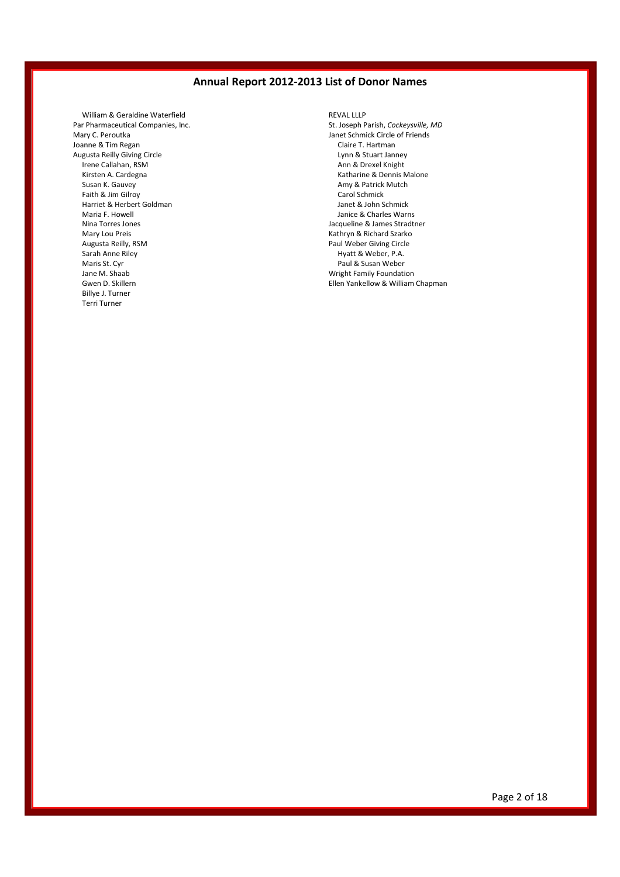William & Geraldine Waterfield Par Pharmaceutical Companies, Inc. Mary C. Peroutka Joanne & Tim Regan Augusta Reilly Giving Circle Irene Callahan, RSM Kirsten A. Cardegna Susan K. Gauvey Faith & Jim Gilroy Harriet & Herbert Goldman Maria F. Howell Nina Torres Jones Mary Lou Preis Augusta Reilly, RSM Sarah Anne Riley Maris St. Cyr Jane M. Shaab Gwen D. Skillern Billye J. Turner Terri Turner

REVAL LLLP St. Joseph Parish, *Cockeysville, MD* Janet Schmick Circle of Friends Claire T. Hartman Lynn & Stuart Janney Ann & Drexel Knight Katharine & Dennis Malone Amy & Patrick Mutch Carol Schmick Janet & John Schmick Janice & Charles Warns Jacqueline & James Stradtner Kathryn & Richard Szarko Paul Weber Giving Circle Hyatt & Weber, P.A. Paul & Susan Weber Wright Family Foundation Ellen Yankellow & William Chapman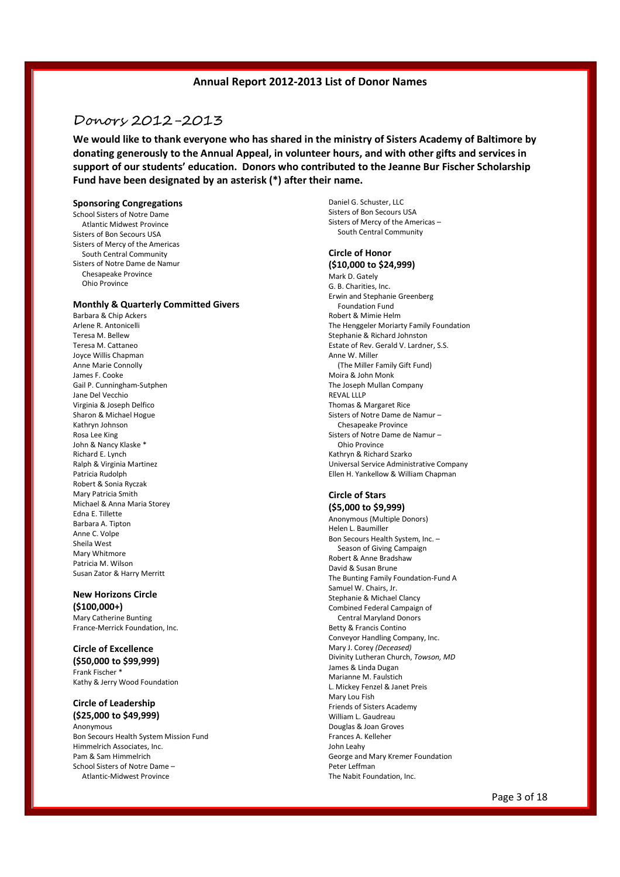## Donors 2012-2013

**We would like to thank everyone who has shared in the ministry of Sisters Academy of Baltimore by donating generously to the Annual Appeal, in volunteer hours, and with other gifts and services in support of our students' education. Donors who contributed to the Jeanne Bur Fischer Scholarship Fund have been designated by an asterisk (\*) after their name.**

#### **Sponsoring Congregations**

School Sisters of Notre Dame Atlantic Midwest Province Sisters of Bon Secours USA Sisters of Mercy of the Americas South Central Community Sisters of Notre Dame de Namur Chesapeake Province Ohio Province

#### **Monthly & Quarterly Committed Givers**

Barbara & Chip Ackers Arlene R. Antonicelli Teresa M. Bellew Teresa M. Cattaneo Joyce Willis Chapman Anne Marie Connolly James F. Cooke Gail P. Cunningham-Sutphen Jane Del Vecchio Virginia & Joseph Delfico Sharon & Michael Hogue Kathryn Johnson Rosa Lee King John & Nancy Klaske \* Richard E. Lynch Ralph & Virginia Martinez Patricia Rudolph Robert & Sonia Ryczak Mary Patricia Smith Michael & Anna Maria Storey Edna E. Tillette Barbara A. Tipton Anne C. Volpe Sheila West Mary Whitmore Patricia M. Wilson Susan Zator & Harry Merritt

#### **New Horizons Circle (\$100,000+)**

Mary Catherine Bunting France-Merrick Foundation, Inc.

**Circle of Excellence (\$50,000 to \$99,999)** Frank Fischer \* Kathy & Jerry Wood Foundation

**Circle of Leadership (\$25,000 to \$49,999)** Anonymous Bon Secours Health System Mission Fund Himmelrich Associates, Inc. Pam & Sam Himmelrich School Sisters of Notre Dame – Atlantic-Midwest Province

Daniel G. Schuster, LLC Sisters of Bon Secours USA Sisters of Mercy of the Americas – South Central Community

## **Circle of Honor**

**(\$10,000 to \$24,999)** Mark D. Gately G. B. Charities, Inc. Erwin and Stephanie Greenberg Foundation Fund Robert & Mimie Helm The Henggeler Moriarty Family Foundation Stephanie & Richard Johnston Estate of Rev. Gerald V. Lardner, S.S. Anne W. Miller (The Miller Family Gift Fund) Moira & John Monk The Joseph Mullan Company REVAL LLLP Thomas & Margaret Rice Sisters of Notre Dame de Namur – Chesapeake Province Sisters of Notre Dame de Namur – Ohio Province Kathryn & Richard Szarko Universal Service Administrative Company Ellen H. Yankellow & William Chapman

#### **Circle of Stars (\$5,000 to \$9,999)**

Anonymous (Multiple Donors) Helen L. Baumiller Bon Secours Health System, Inc. – Season of Giving Campaign Robert & Anne Bradshaw David & Susan Brune The Bunting Family Foundation-Fund A Samuel W. Chairs, Jr. Stephanie & Michael Clancy Combined Federal Campaign of Central Maryland Donors Betty & Francis Contino Conveyor Handling Company, Inc. Mary J. Corey *(Deceased)* Divinity Lutheran Church, *Towson, MD* James & Linda Dugan Marianne M. Faulstich L. Mickey Fenzel & Janet Preis Mary Lou Fish Friends of Sisters Academy William L. Gaudreau Douglas & Joan Groves Frances A. Kelleher John Leahy George and Mary Kremer Foundation Peter Leffman The Nabit Foundation, Inc.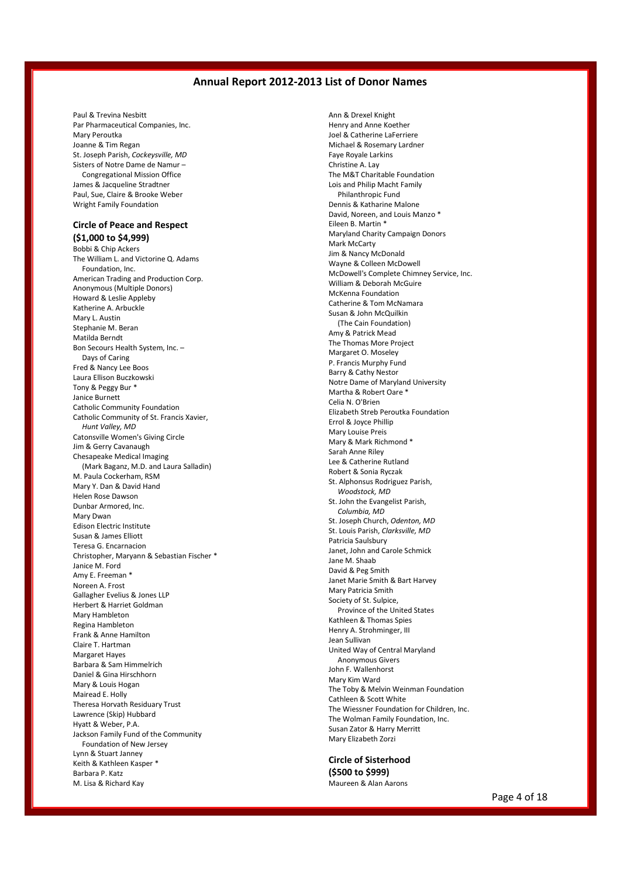Paul & Trevina Nesbitt Par Pharmaceutical Companies, Inc. Mary Peroutka Joanne & Tim Regan St. Joseph Parish, *Cockeysville, MD* Sisters of Notre Dame de Namur – Congregational Mission Office James & Jacqueline Stradtner Paul, Sue, Claire & Brooke Weber Wright Family Foundation

## **Circle of Peace and Respect**

**(\$1,000 to \$4,999)** Bobbi & Chip Ackers The William L. and Victorine Q. Adams Foundation, Inc. American Trading and Production Corp. Anonymous (Multiple Donors) Howard & Leslie Appleby Katherine A. Arbuckle Mary L. Austin Stephanie M. Beran Matilda Berndt Bon Secours Health System, Inc. – Days of Caring Fred & Nancy Lee Boos Laura Ellison Buczkowski Tony & Peggy Bur \* Janice Burnett Catholic Community Foundation Catholic Community of St. Francis Xavier, *Hunt Valley, MD* Catonsville Women's Giving Circle Jim & Gerry Cavanaugh Chesapeake Medical Imaging (Mark Baganz, M.D. and Laura Salladin) M. Paula Cockerham, RSM Mary Y. Dan & David Hand Helen Rose Dawson Dunbar Armored, Inc. Mary Dwan Edison Electric Institute Susan & James Elliott Teresa G. Encarnacion Christopher, Maryann & Sebastian Fischer \* Janice M. Ford Amy E. Freeman \* Noreen A. Frost Gallagher Evelius & Jones LLP Herbert & Harriet Goldman Mary Hambleton Regina Hambleton Frank & Anne Hamilton Claire T. Hartman Margaret Hayes Barbara & Sam Himmelrich Daniel & Gina Hirschhorn Mary & Louis Hogan Mairead E. Holly Theresa Horvath Residuary Trust Lawrence (Skip) Hubbard Hyatt & Weber, P.A. Jackson Family Fund of the Community Foundation of New Jersey Lynn & Stuart Janney Keith & Kathleen Kasper \* Barbara P. Katz M. Lisa & Richard Kay

Ann & Drexel Knight Henry and Anne Koether Joel & Catherine LaFerriere Michael & Rosemary Lardner Faye Royale Larkins Christine A. Lay The M&T Charitable Foundation Lois and Philip Macht Family Philanthropic Fund Dennis & Katharine Malone David, Noreen, and Louis Manzo \* Eileen B. Martin \* Maryland Charity Campaign Donors Mark McCarty Jim & Nancy McDonald Wayne & Colleen McDowell McDowell's Complete Chimney Service, Inc. William & Deborah McGuire McKenna Foundation Catherine & Tom McNamara Susan & John McQuilkin (The Cain Foundation) Amy & Patrick Mead The Thomas More Project Margaret O. Moseley P. Francis Murphy Fund Barry & Cathy Nestor Notre Dame of Maryland University Martha & Robert Oare \* Celia N. O'Brien Elizabeth Streb Peroutka Foundation Errol & Joyce Phillip Mary Louise Preis Mary & Mark Richmond \* Sarah Anne Riley Lee & Catherine Rutland Robert & Sonia Ryczak St. Alphonsus Rodriguez Parish, *Woodstock, MD* St. John the Evangelist Parish, *Columbia, MD* St. Joseph Church, *Odenton, MD* St. Louis Parish, *Clarksville, MD* Patricia Saulsbury Janet, John and Carole Schmick Jane M. Shaab David & Peg Smith Janet Marie Smith & Bart Harvey Mary Patricia Smith Society of St. Sulpice, Province of the United States Kathleen & Thomas Spies Henry A. Strohminger, III Jean Sullivan United Way of Central Maryland Anonymous Givers John F. Wallenhorst Mary Kim Ward The Toby & Melvin Weinman Foundation Cathleen & Scott White The Wiessner Foundation for Children, Inc. The Wolman Family Foundation, Inc. Susan Zator & Harry Merritt Mary Elizabeth Zorzi

#### **Circle of Sisterhood (\$500 to \$999)**

Maureen & Alan Aarons

Page 4 of 18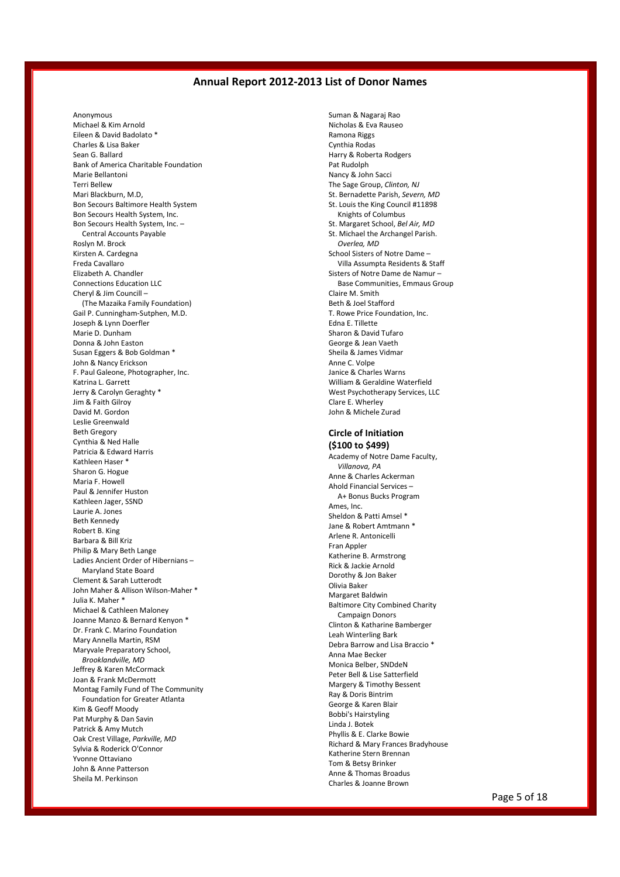Anonymous Michael & Kim Arnold Eileen & David Badolato \* Charles & Lisa Baker Sean G. Ballard Bank of America Charitable Foundation Marie Bellantoni Terri Bellew Mari Blackburn, M.D, Bon Secours Baltimore Health System Bon Secours Health System, Inc. Bon Secours Health System, Inc. – Central Accounts Payable Roslyn M. Brock Kirsten A. Cardegna Freda Cavallaro Elizabeth A. Chandler Connections Education LLC Cheryl & Jim Councill – (The Mazaika Family Foundation) Gail P. Cunningham-Sutphen, M.D. Joseph & Lynn Doerfler Marie D. Dunham Donna & John Easton Susan Eggers & Bob Goldman \* John & Nancy Erickson F. Paul Galeone, Photographer, Inc. Katrina L. Garrett Jerry & Carolyn Geraghty \* Jim & Faith Gilroy David M. Gordon Leslie Greenwald Beth Gregory Cynthia & Ned Halle Patricia & Edward Harris Kathleen Haser \* Sharon G. Hogue Maria F. Howell Paul & Jennifer Huston Kathleen Jager, SSND Laurie A. Jones Beth Kennedy Robert B. King Barbara & Bill Kriz Philip & Mary Beth Lange Ladies Ancient Order of Hibernians – Maryland State Board Clement & Sarah Lutterodt John Maher & Allison Wilson-Maher \* Julia K. Maher \* Michael & Cathleen Maloney Joanne Manzo & Bernard Kenyon \* Dr. Frank C. Marino Foundation Mary Annella Martin, RSM Maryvale Preparatory School, *Brooklandville, MD* Jeffrey & Karen McCormack Joan & Frank McDermott Montag Family Fund of The Community Foundation for Greater Atlanta Kim & Geoff Moody Pat Murphy & Dan Savin Patrick & Amy Mutch Oak Crest Village, *Parkville, MD* Sylvia & Roderick O'Connor Yvonne Ottaviano John & Anne Patterson Sheila M. Perkinson

Suman & Nagaraj Rao Nicholas & Eva Rauseo Ramona Riggs Cynthia Rodas Harry & Roberta Rodgers Pat Rudolph Nancy & John Sacci The Sage Group, *Clinton, NJ* St. Bernadette Parish, *Severn, MD* St. Louis the King Council #11898 Knights of Columbus St. Margaret School, *Bel Air, MD* St. Michael the Archangel Parish. *Overlea, MD* School Sisters of Notre Dame – Villa Assumpta Residents & Staff Sisters of Notre Dame de Namur – Base Communities, Emmaus Group Claire M. Smith Beth & Joel Stafford T. Rowe Price Foundation, Inc. Edna E. Tillette Sharon & David Tufaro George & Jean Vaeth Sheila & James Vidmar Anne C. Volpe Janice & Charles Warns William & Geraldine Waterfield West Psychotherapy Services, LLC Clare E. Wherley John & Michele Zurad

## **Circle of Initiation**

**(\$100 to \$499)** Academy of Notre Dame Faculty, *Villanova, PA* Anne & Charles Ackerman Ahold Financial Services – A+ Bonus Bucks Program Ames, Inc. Sheldon & Patti Amsel \* Jane & Robert Amtmann \* Arlene R. Antonicelli Fran Appler Katherine B. Armstrong Rick & Jackie Arnold Dorothy & Jon Baker Olivia Baker Margaret Baldwin Baltimore City Combined Charity Campaign Donors Clinton & Katharine Bamberger Leah Winterling Bark Debra Barrow and Lisa Braccio \* Anna Mae Becker Monica Belber, SNDdeN Peter Bell & Lise Satterfield Margery & Timothy Bessent Ray & Doris Bintrim George & Karen Blair Bobbi's Hairstyling Linda J. Botek Phyllis & E. Clarke Bowie Richard & Mary Frances Bradyhouse Katherine Stern Brennan Tom & Betsy Brinker Anne & Thomas Broadus Charles & Joanne Brown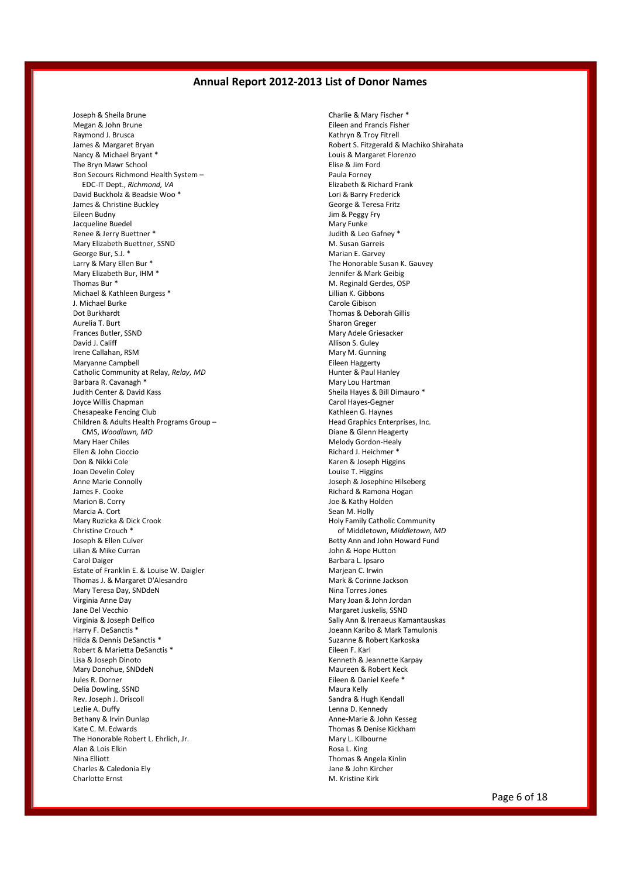Joseph & Sheila Brune Megan & John Brune Raymond J. Brusca James & Margaret Bryan Nancy & Michael Bryant \* The Bryn Mawr School Bon Secours Richmond Health System – EDC-IT Dept., *Richmond, VA* David Buckholz & Beadsie Woo \* James & Christine Buckley Eileen Budny Jacqueline Buedel Renee & Jerry Buettner \* Mary Elizabeth Buettner, SSND George Bur, S.J. \* Larry & Mary Ellen Bur \* Mary Elizabeth Bur, IHM \* Thomas Bur \* Michael & Kathleen Burgess \* J. Michael Burke Dot Burkhardt Aurelia T. Burt Frances Butler, SSND David J. Califf Irene Callahan, RSM Maryanne Campbell Catholic Community at Relay, *Relay, MD* Barbara R. Cavanagh \* Judith Center & David Kass Joyce Willis Chapman Chesapeake Fencing Club Children & Adults Health Programs Group – CMS, *Woodlawn, MD* Mary Haer Chiles Ellen & John Cioccio Don & Nikki Cole Joan Develin Coley Anne Marie Connolly James F. Cooke Marion B. Corry Marcia A. Cort Mary Ruzicka & Dick Crook Christine Crouch \* Joseph & Ellen Culver Lilian & Mike Curran Carol Daiger Estate of Franklin E. & Louise W. Daigler Thomas J. & Margaret D'Alesandro Mary Teresa Day, SNDdeN Virginia Anne Day Jane Del Vecchio Virginia & Joseph Delfico Harry F. DeSanctis \* Hilda & Dennis DeSanctis \* Robert & Marietta DeSanctis \* Lisa & Joseph Dinoto Mary Donohue, SNDdeN Jules R. Dorner Delia Dowling, SSND Rev. Joseph J. Driscoll Lezlie A. Duffy Bethany & Irvin Dunlap Kate C. M. Edwards The Honorable Robert L. Ehrlich, Jr. Alan & Lois Elkin Nina Elliott Charles & Caledonia Ely Charlotte Ernst

Charlie & Mary Fischer \* Eileen and Francis Fisher Kathryn & Troy Fitrell Robert S. Fitzgerald & Machiko Shirahata Louis & Margaret Florenzo Elise & Jim Ford Paula Forney Elizabeth & Richard Frank Lori & Barry Frederick George & Teresa Fritz Jim & Peggy Fry Mary Funke Judith & Leo Gafney \* M. Susan Garreis Marian E. Garvey The Honorable Susan K. Gauvey Jennifer & Mark Geibig M. Reginald Gerdes, OSP Lillian K. Gibbons Carole Gibison Thomas & Deborah Gillis Sharon Greger Mary Adele Griesacker Allison S. Guley Mary M. Gunning Eileen Haggerty Hunter & Paul Hanley Mary Lou Hartman Sheila Hayes & Bill Dimauro \* Carol Hayes-Gegner Kathleen G. Haynes Head Graphics Enterprises, Inc. Diane & Glenn Heagerty Melody Gordon-Healy Richard J. Heichmer \* Karen & Joseph Higgins Louise T. Higgins Joseph & Josephine Hilseberg Richard & Ramona Hogan Joe & Kathy Holden Sean M. Holly Holy Family Catholic Community of Middletown, *Middletown, MD* Betty Ann and John Howard Fund John & Hope Hutton Barbara L. Ipsaro Marjean C. Irwin Mark & Corinne Jackson Nina Torres Jones Mary Joan & John Jordan Margaret Juskelis, SSND Sally Ann & Irenaeus Kamantauskas Joeann Karibo & Mark Tamulonis Suzanne & Robert Karkoska Eileen F. Karl Kenneth & Jeannette Karpay Maureen & Robert Keck Eileen & Daniel Keefe \* Maura Kelly Sandra & Hugh Kendall Lenna D. Kennedy Anne-Marie & John Kesseg Thomas & Denise Kickham Mary L. Kilbourne Rosa L. King Thomas & Angela Kinlin Jane & John Kircher M. Kristine Kirk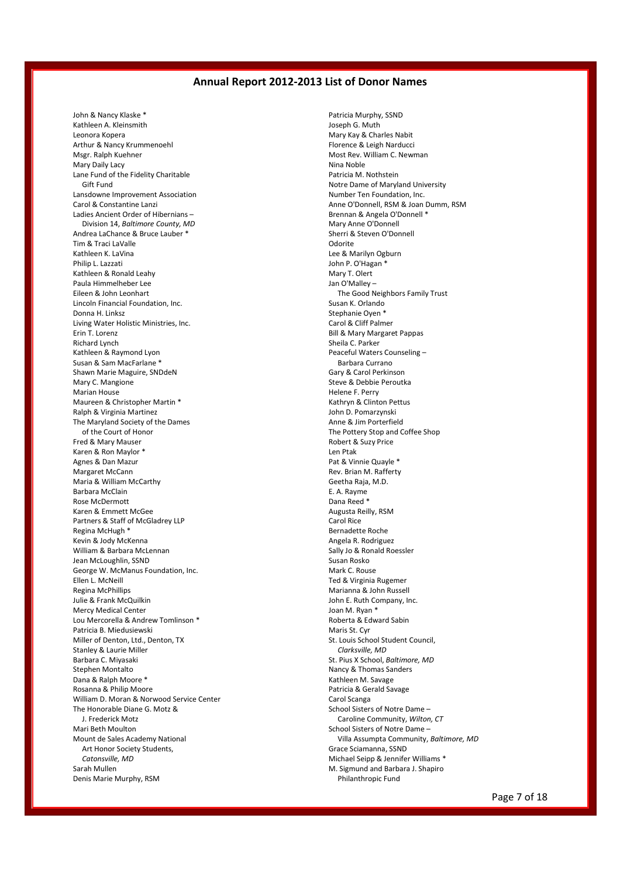John & Nancy Klaske \* Kathleen A. Kleinsmith Leonora Kopera Arthur & Nancy Krummenoehl Msgr. Ralph Kuehner Mary Daily Lacy Lane Fund of the Fidelity Charitable Gift Fund Lansdowne Improvement Association Carol & Constantine Lanzi Ladies Ancient Order of Hibernians – Division 14, *Baltimore County, MD* Andrea LaChance & Bruce Lauber \* Tim & Traci LaValle Kathleen K. LaVina Philip L. Lazzati Kathleen & Ronald Leahy Paula Himmelheber Lee Eileen & John Leonhart Lincoln Financial Foundation, Inc. Donna H. Linksz Living Water Holistic Ministries, Inc. Erin T. Lorenz Richard Lynch Kathleen & Raymond Lyon Susan & Sam MacFarlane Shawn Marie Maguire, SNDdeN Mary C. Mangione Marian House Maureen & Christopher Martin \* Ralph & Virginia Martinez The Maryland Society of the Dames of the Court of Honor Fred & Mary Mauser Karen & Ron Maylor \* Agnes & Dan Mazur Margaret McCann Maria & William McCarthy Barbara McClain Rose McDermott Karen & Emmett McGee Partners & Staff of McGladrey LLP Regina McHugh \* Kevin & Jody McKenna William & Barbara McLennan Jean McLoughlin, SSND George W. McManus Foundation, Inc. Ellen L. McNeill Regina McPhillips Julie & Frank McQuilkin Mercy Medical Center Lou Mercorella & Andrew Tomlinson \* Patricia B. Miedusiewski Miller of Denton, Ltd., Denton, TX Stanley & Laurie Miller Barbara C. Miyasaki Stephen Montalto Dana & Ralph Moore \* Rosanna & Philip Moore William D. Moran & Norwood Service Center The Honorable Diane G. Motz & J. Frederick Motz Mari Beth Moulton Mount de Sales Academy National Art Honor Society Students, *Catonsville, MD* Sarah Mullen Denis Marie Murphy, RSM

Patricia Murphy, SSND Joseph G. Muth Mary Kay & Charles Nabit Florence & Leigh Narducci Most Rev. William C. Newman Nina Noble Patricia M. Nothstein Notre Dame of Maryland University Number Ten Foundation, Inc. Anne O'Donnell, RSM & Joan Dumm, RSM Brennan & Angela O'Donnell \* Mary Anne O'Donnell Sherri & Steven O'Donnell Odorite Lee & Marilyn Ogburn John P. O'Hagan \* Mary T. Olert Jan O'Malley – The Good Neighbors Family Trust Susan K. Orlando Stephanie Oyen \* Carol & Cliff Palmer Bill & Mary Margaret Pappas Sheila C. Parker Peaceful Waters Counseling – Barbara Currano Gary & Carol Perkinson Steve & Debbie Peroutka Helene F. Perry Kathryn & Clinton Pettus John D. Pomarzynski Anne & Jim Porterfield The Pottery Stop and Coffee Shop Robert & Suzy Price Len Ptak Pat & Vinnie Quayle \* Rev. Brian M. Rafferty Geetha Raja, M.D. E. A. Rayme Dana Reed \* Augusta Reilly, RSM Carol Rice Bernadette Roche Angela R. Rodriguez Sally Jo & Ronald Roessler Susan Rosko Mark C. Rouse Ted & Virginia Rugemer Marianna & John Russell John E. Ruth Company, Inc. Joan M. Ryan \* Roberta & Edward Sabin Maris St. Cyr St. Louis School Student Council, *Clarksville, MD* St. Pius X School, *Baltimore, MD* Nancy & Thomas Sanders Kathleen M. Savage Patricia & Gerald Savage Carol Scanga School Sisters of Notre Dame – Caroline Community, *Wilton, CT* School Sisters of Notre Dame – Villa Assumpta Community, *Baltimore, MD* Grace Sciamanna, SSND Michael Seipp & Jennifer Williams \* M. Sigmund and Barbara J. Shapiro Philanthropic Fund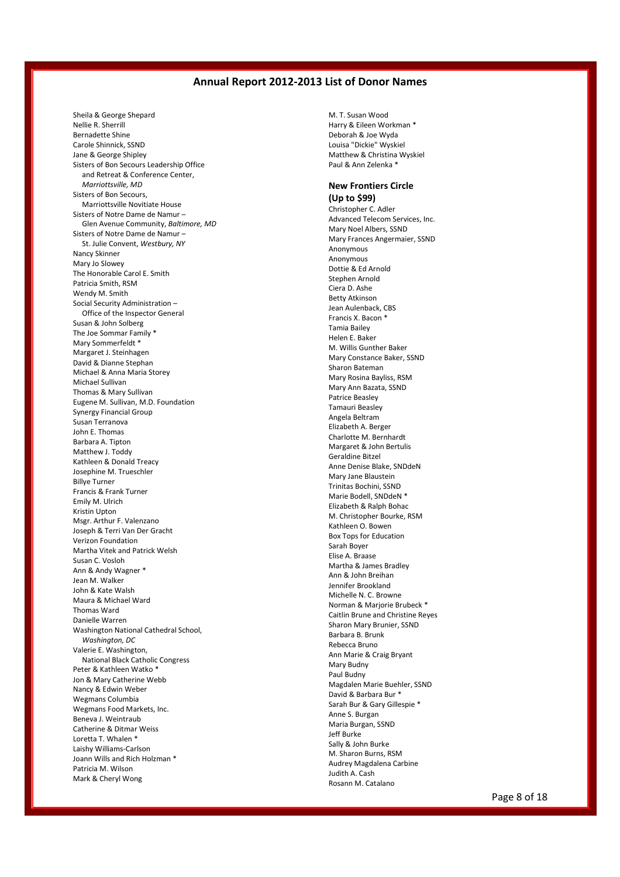Sheila & George Shepard Nellie R. Sherrill Bernadette Shine Carole Shinnick, SSND Jane & George Shipley Sisters of Bon Secours Leadership Office and Retreat & Conference Center, *Marriottsville, MD* Sisters of Bon Secours, Marriottsville Novitiate House Sisters of Notre Dame de Namur – Glen Avenue Community, *Baltimore, MD* Sisters of Notre Dame de Namur – St. Julie Convent, *Westbury, NY* Nancy Skinner Mary Jo Slowey The Honorable Carol E. Smith Patricia Smith, RSM Wendy M. Smith Social Security Administration – Office of the Inspector General Susan & John Solberg The Joe Sommar Family \* Mary Sommerfeldt \* Margaret J. Steinhagen David & Dianne Stephan Michael & Anna Maria Storey Michael Sullivan Thomas & Mary Sullivan Eugene M. Sullivan, M.D. Foundation Synergy Financial Group Susan Terranova John E. Thomas Barbara A. Tipton Matthew J. Toddy Kathleen & Donald Treacy Josephine M. Trueschler Billye Turner Francis & Frank Turner Emily M. Ulrich Kristin Upton Msgr. Arthur F. Valenzano Joseph & Terri Van Der Gracht Verizon Foundation Martha Vitek and Patrick Welsh Susan C. Vosloh Ann & Andy Wagner \* Jean M. Walker John & Kate Walsh Maura & Michael Ward Thomas Ward Danielle Warren Washington National Cathedral School, *Washington, DC* Valerie E. Washington, National Black Catholic Congress Peter & Kathleen Watko \* Jon & Mary Catherine Webb Nancy & Edwin Weber Wegmans Columbia Wegmans Food Markets, Inc. Beneva J. Weintraub Catherine & Ditmar Weiss Loretta T. Whalen \* Laishy Williams-Carlson Joann Wills and Rich Holzman \* Patricia M. Wilson Mark & Cheryl Wong

M. T. Susan Wood Harry & Eileen Workman \* Deborah & Joe Wyda Louisa "Dickie" Wyskiel Matthew & Christina Wyskiel Paul & Ann Zelenka \*

## **New Frontiers Circle**

#### **(Up to \$99)** Christopher C. Adler Advanced Telecom Services, Inc. Mary Noel Albers, SSND Mary Frances Angermaier, SSND Anonymous Anonymous Dottie & Ed Arnold Stephen Arnold Ciera D. Ashe Betty Atkinson Jean Aulenback, CBS Francis X. Bacon \* Tamia Bailey Helen E. Baker M. Willis Gunther Baker Mary Constance Baker, SSND Sharon Bateman Mary Rosina Bayliss, RSM Mary Ann Bazata, SSND Patrice Beasley Tamauri Beasley Angela Beltram Elizabeth A. Berger Charlotte M. Bernhardt Margaret & John Bertulis Geraldine Bitzel Anne Denise Blake, SNDdeN Mary Jane Blaustein Trinitas Bochini, SSND Marie Bodell, SNDdeN \* Elizabeth & Ralph Bohac M. Christopher Bourke, RSM Kathleen O. Bowen Box Tops for Education Sarah Boyer Elise A. Braase Martha & James Bradley Ann & John Breihan Jennifer Brookland Michelle N. C. Browne Norman & Marjorie Brubeck \* Caitlin Brune and Christine Reyes Sharon Mary Brunier, SSND Barbara B. Brunk Rebecca Bruno Ann Marie & Craig Bryant Mary Budny Paul Budny Magdalen Marie Buehler, SSND David & Barbara Bur \* Sarah Bur & Gary Gillespie \* Anne S. Burgan Maria Burgan, SSND Jeff Burke Sally & John Burke M. Sharon Burns, RSM Audrey Magdalena Carbine Judith A. Cash Rosann M. Catalano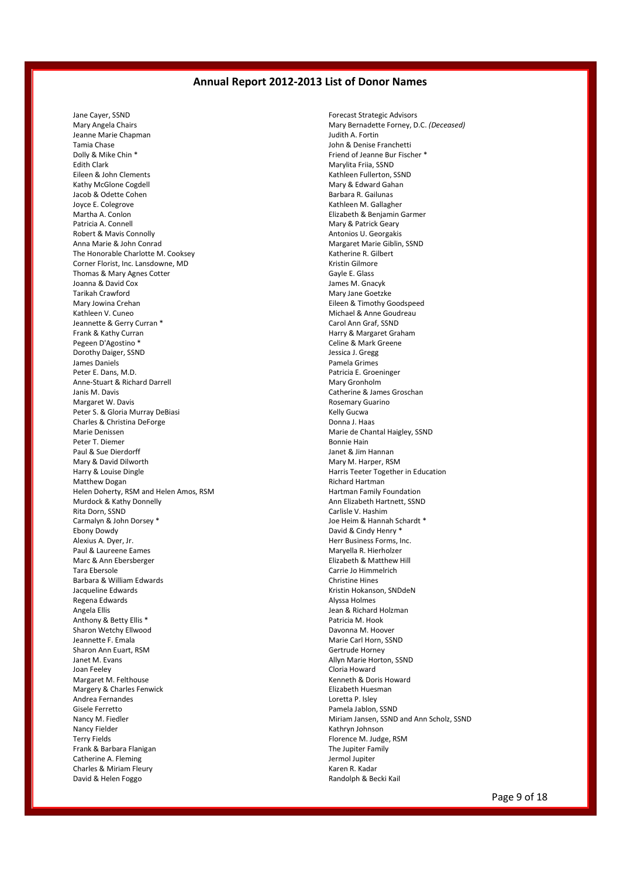Jane Cayer, SSND Mary Angela Chairs Jeanne Marie Chapman Tamia Chase Dolly & Mike Chin \* Edith Clark Eileen & John Clements Kathy McGlone Cogdell Jacob & Odette Cohen Joyce E. Colegrove Martha A. Conlon Patricia A. Connell Robert & Mavis Connolly Anna Marie & John Conrad The Honorable Charlotte M. Cooksey Corner Florist, Inc. Lansdowne, MD Thomas & Mary Agnes Cotter Joanna & David Cox Tarikah Crawford Mary Jowina Crehan Kathleen V. Cuneo Jeannette & Gerry Curran \* Frank & Kathy Curran Pegeen D'Agostino \* Dorothy Daiger, SSND James Daniels Peter E. Dans, M.D. Anne-Stuart & Richard Darrell Janis M. Davis Margaret W. Davis Peter S. & Gloria Murray DeBiasi Charles & Christina DeForge Marie Denissen Peter T. Diemer Paul & Sue Dierdorff Mary & David Dilworth Harry & Louise Dingle Matthew Dogan Helen Doherty, RSM and Helen Amos, RSM Murdock & Kathy Donnelly Rita Dorn, SSND Carmalyn & John Dorsey \* Ebony Dowdy Alexius A. Dyer, Jr. Paul & Laureene Eames Marc & Ann Ebersberger Tara Ebersole Barbara & William Edwards Jacqueline Edwards Regena Edwards Angela Ellis Anthony & Betty Ellis \* Sharon Wetchy Ellwood Jeannette F. Emala Sharon Ann Euart, RSM Janet M. Evans Joan Feeley Margaret M. Felthouse Margery & Charles Fenwick Andrea Fernandes Gisele Ferretto Nancy M. Fiedler Nancy Fielder Terry Fields Frank & Barbara Flanigan Catherine A. Fleming Charles & Miriam Fleury David & Helen Foggo

Forecast Strategic Advisors Mary Bernadette Forney, D.C. *(Deceased)* Judith A. Fortin John & Denise Franchetti Friend of Jeanne Bur Fischer \* Marylita Friia, SSND Kathleen Fullerton, SSND Mary & Edward Gahan Barbara R. Gailunas Kathleen M. Gallagher Elizabeth & Benjamin Garmer Mary & Patrick Geary Antonios U. Georgakis Margaret Marie Giblin, SSND Katherine R. Gilbert Kristin Gilmore Gayle E. Glass James M. Gnacyk Mary Jane Goetzke Eileen & Timothy Goodspeed Michael & Anne Goudreau Carol Ann Graf, SSND Harry & Margaret Graham Celine & Mark Greene Jessica J. Gregg Pamela Grimes Patricia E. Groeninger Mary Gronholm Catherine & James Groschan Rosemary Guarino Kelly Gucwa Donna J. Haas Marie de Chantal Haigley, SSND Bonnie Hain Janet & Jim Hannan Mary M. Harper, RSM Harris Teeter Together in Education Richard Hartman Hartman Family Foundation Ann Elizabeth Hartnett, SSND Carlisle V. Hashim Joe Heim & Hannah Schardt \* David & Cindy Henry \* Herr Business Forms, Inc. Maryella R. Hierholzer Elizabeth & Matthew Hill Carrie Jo Himmelrich Christine Hines Kristin Hokanson, SNDdeN Alyssa Holmes Jean & Richard Holzman Patricia M. Hook Davonna M. Hoover Marie Carl Horn, SSND Gertrude Horney Allyn Marie Horton, SSND Cloria Howard Kenneth & Doris Howard Elizabeth Huesman Loretta P. Isley Pamela Jablon, SSND Miriam Jansen, SSND and Ann Scholz, SSND Kathryn Johnson Florence M. Judge, RSM The Jupiter Family Jermol Jupiter Karen R. Kadar Randolph & Becki Kail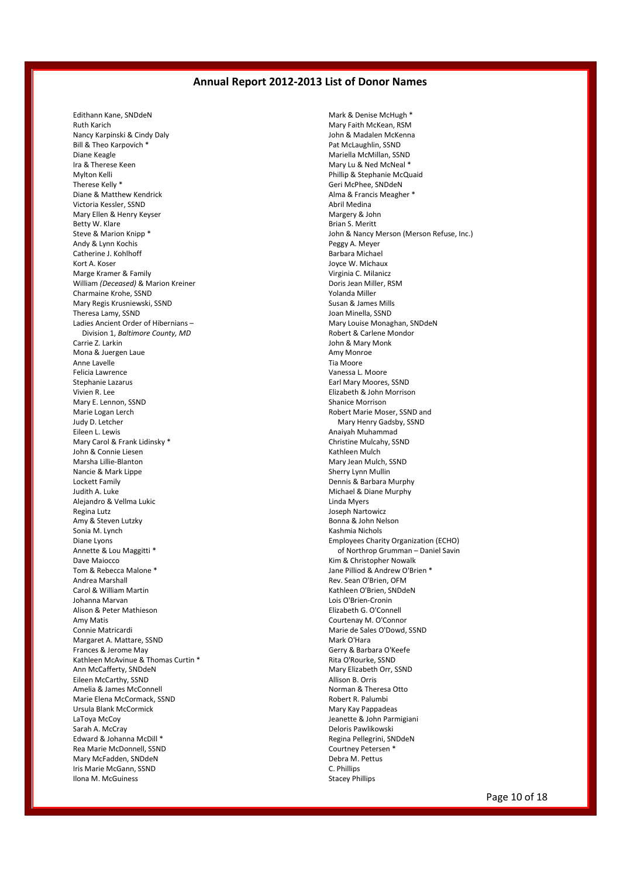Edithann Kane, SNDdeN Ruth Karich Nancy Karpinski & Cindy Daly Bill & Theo Karpovich \* Diane Keagle Ira & Therese Keen Mylton Kelli Therese Kelly \* Diane & Matthew Kendrick Victoria Kessler, SSND Mary Ellen & Henry Keyser Betty W. Klare Steve & Marion Knipp \* Andy & Lynn Kochis Catherine J. Kohlhoff Kort A. Koser Marge Kramer & Family William *(Deceased)* & Marion Kreiner Charmaine Krohe, SSND Mary Regis Krusniewski, SSND Theresa Lamy, SSND Ladies Ancient Order of Hibernians – Division 1, *Baltimore County, MD* Carrie Z. Larkin Mona & Juergen Laue Anne Lavelle Felicia Lawrence Stephanie Lazarus Vivien R. Lee Mary E. Lennon, SSND Marie Logan Lerch Judy D. Letcher Eileen L. Lewis Mary Carol & Frank Lidinsky \* John & Connie Liesen Marsha Lillie-Blanton Nancie & Mark Lippe Lockett Family Judith A. Luke Alejandro & Vellma Lukic Regina Lutz Amy & Steven Lutzky Sonia M. Lynch Diane Lyons Annette & Lou Maggitti \* Dave Maiocco Tom & Rebecca Malone \* Andrea Marshall Carol & William Martin Johanna Marvan Alison & Peter Mathieson Amy Matis Connie Matricardi Margaret A. Mattare, SSND Frances & Jerome May Kathleen McAvinue & Thomas Curtin \* Ann McCafferty, SNDdeN Eileen McCarthy, SSND Amelia & James McConnell Marie Elena McCormack, SSND Ursula Blank McCormick LaToya McCoy Sarah A. McCray Edward & Johanna McDill \* Rea Marie McDonnell, SSND Mary McFadden, SNDdeN Iris Marie McGann, SSND Ilona M. McGuiness

Mark & Denise McHugh \* Mary Faith McKean, RSM John & Madalen McKenna Pat McLaughlin, SSND Mariella McMillan, SSND Mary Lu & Ned McNeal \* Phillip & Stephanie McQuaid Geri McPhee, SNDdeN Alma & Francis Meagher \* Abril Medina Margery & John Brian S. Meritt John & Nancy Merson (Merson Refuse, Inc.) Peggy A. Meyer Barbara Michael Joyce W. Michaux Virginia C. Milanicz Doris Jean Miller, RSM Yolanda Miller Susan & James Mills Joan Minella, SSND Mary Louise Monaghan, SNDdeN Robert & Carlene Mondor John & Mary Monk Amy Monroe Tia Moore Vanessa L. Moore Earl Mary Moores, SSND Elizabeth & John Morrison Shanice Morrison Robert Marie Moser, SSND and Mary Henry Gadsby, SSND Anaiyah Muhammad Christine Mulcahy, SSND Kathleen Mulch Mary Jean Mulch, SSND Sherry Lynn Mullin Dennis & Barbara Murphy Michael & Diane Murphy Linda Myers Joseph Nartowicz Bonna & John Nelson Kashmia Nichols Employees Charity Organization (ECHO) of Northrop Grumman – Daniel Savin Kim & Christopher Nowalk Jane Pilliod & Andrew O'Brien \* Rev. Sean O'Brien, OFM Kathleen O'Brien, SNDdeN Lois O'Brien-Cronin Elizabeth G. O'Connell Courtenay M. O'Connor Marie de Sales O'Dowd, SSND Mark O'Hara Gerry & Barbara O'Keefe Rita O'Rourke, SSND Mary Elizabeth Orr, SSND Allison B. Orris Norman & Theresa Otto Robert R. Palumbi Mary Kay Pappadeas Jeanette & John Parmigiani Deloris Pawlikowski Regina Pellegrini, SNDdeN Courtney Petersen \* Debra M. Pettus C. Phillips Stacey Phillips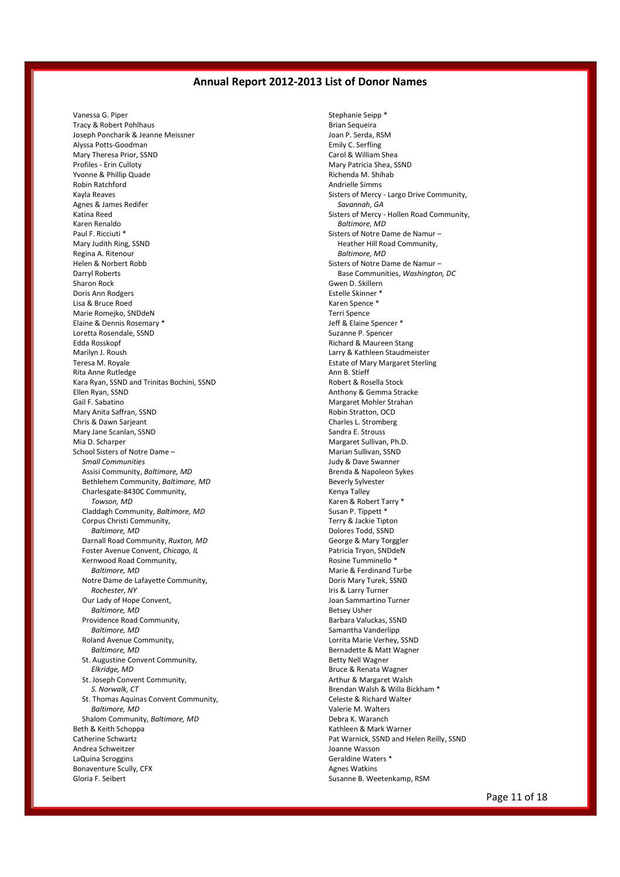Vanessa G. Piper Tracy & Robert Pohlhaus Joseph Poncharik & Jeanne Meissner Alyssa Potts-Goodman Mary Theresa Prior, SSND Profiles - Erin Culloty Yvonne & Phillip Quade Robin Ratchford Kayla Reaves Agnes & James Redifer Katina Reed Karen Renaldo Paul F. Ricciuti \* Mary Judith Ring, SSND Regina A. Ritenour Helen & Norbert Robb Darryl Roberts Sharon Rock Doris Ann Rodgers Lisa & Bruce Roed Marie Romejko, SNDdeN Elaine & Dennis Rosemary \* Loretta Rosendale, SSND Edda Rosskopf Marilyn J. Roush Teresa M. Royale Rita Anne Rutledge Kara Ryan, SSND and Trinitas Bochini, SSND Ellen Ryan, SSND Gail F. Sabatino Mary Anita Saffran, SSND Chris & Dawn Sarjeant Mary Jane Scanlan, SSND Mia D. Scharper School Sisters of Notre Dame – *Small Communities* Assisi Community, *Baltimore, MD* Bethlehem Community, *Baltimore, MD* Charlesgate-8430C Community, *Towson, MD* Claddagh Community, *Baltimore, MD* Corpus Christi Community, *Baltimore, MD* Darnall Road Community, *Ruxton, MD* Foster Avenue Convent, *Chicago, IL* Kernwood Road Community, *Baltimore, MD* Notre Dame de Lafayette Community, *Rochester, NY* Our Lady of Hope Convent, *Baltimore, MD* Providence Road Community, *Baltimore, MD* Roland Avenue Community, *Baltimore, MD* St. Augustine Convent Community, *Elkridge, MD* St. Joseph Convent Community, *S. Norwalk, CT* St. Thomas Aquinas Convent Community, *Baltimore, MD* Shalom Community, *Baltimore, MD* Beth & Keith Schoppa Catherine Schwartz Andrea Schweitzer LaQuina Scroggins Bonaventure Scully, CFX Gloria F. Seibert

Stephanie Seipp \* Brian Sequeira Joan P. Serda, RSM Emily C. Serfling Carol & William Shea Mary Patricia Shea, SSND Richenda M. Shihab Andrielle Simms Sisters of Mercy - Largo Drive Community, *Savannah, GA* Sisters of Mercy - Hollen Road Community, *Baltimore, MD* Sisters of Notre Dame de Namur – Heather Hill Road Community, *Baltimore, MD* Sisters of Notre Dame de Namur – Base Communities, *Washington, DC* Gwen D. Skillern Estelle Skinner \* Karen Spence \* Terri Spence Jeff & Elaine Spencer \* Suzanne P. Spencer Richard & Maureen Stang Larry & Kathleen Staudmeister Estate of Mary Margaret Sterling Ann B. Stieff Robert & Rosella Stock Anthony & Gemma Stracke Margaret Mohler Strahan Robin Stratton, OCD Charles L. Stromberg Sandra E. Strouss Margaret Sullivan, Ph.D. Marian Sullivan, SSND Judy & Dave Swanner Brenda & Napoleon Sykes Beverly Sylvester Kenya Talley Karen & Robert Tarry \* Susan P. Tippett \* Terry & Jackie Tipton Dolores Todd, SSND George & Mary Torggler Patricia Tryon, SNDdeN Rosine Tumminello \* Marie & Ferdinand Turbe Doris Mary Turek, SSND Iris & Larry Turner Joan Sammartino Turner Betsey Usher Barbara Valuckas, SSND Samantha Vanderlipp Lorrita Marie Verhey, SSND Bernadette & Matt Wagner Betty Nell Wagner Bruce & Renata Wagner Arthur & Margaret Walsh Brendan Walsh & Willa Bickham \* Celeste & Richard Walter Valerie M. Walters Debra K. Waranch Kathleen & Mark Warner Pat Warnick, SSND and Helen Reilly, SSND Joanne Wasson Geraldine Waters \* Agnes Watkins Susanne B. Weetenkamp, RSM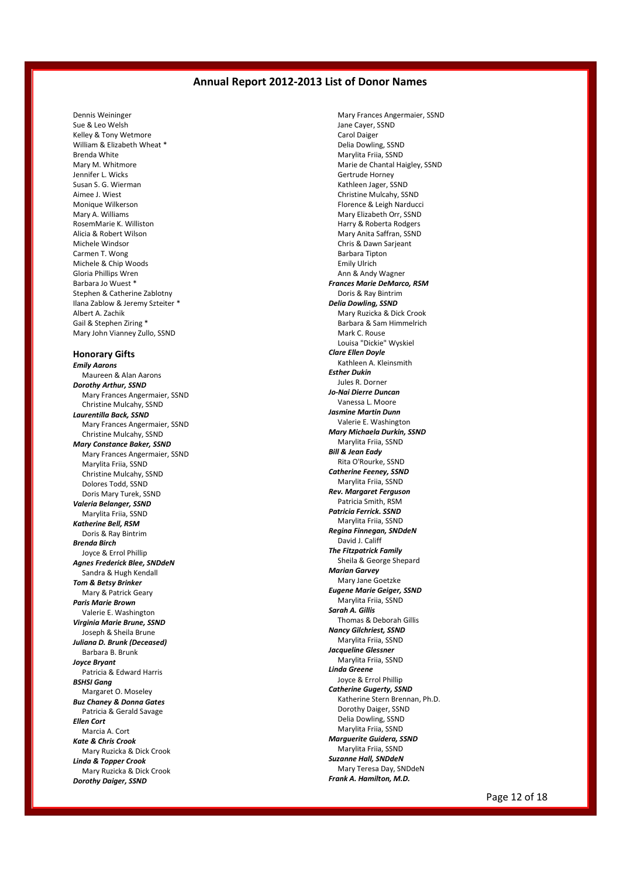Dennis Weininger Sue & Leo Welsh Kelley & Tony Wetmore William & Elizabeth Wheat \* Brenda White Mary M. Whitmore Jennifer L. Wicks Susan S. G. Wierman Aimee J. Wiest Monique Wilkerson Mary A. Williams RosemMarie K. Williston Alicia & Robert Wilson Michele Windsor Carmen T. Wong Michele & Chip Woods Gloria Phillips Wren Barbara Jo Wuest \* Stephen & Catherine Zablotny Ilana Zablow & Jeremy Szteiter \* Albert A. Zachik Gail & Stephen Ziring \* Mary John Vianney Zullo, SSND

#### **Honorary Gifts**

*Emily Aarons* Maureen & Alan Aarons *Dorothy Arthur, SSND* Mary Frances Angermaier, SSND Christine Mulcahy, SSND *Laurentilla Back, SSND* Mary Frances Angermaier, SSND Christine Mulcahy, SSND *Mary Constance Baker, SSND* Mary Frances Angermaier, SSND Marylita Friia, SSND Christine Mulcahy, SSND Dolores Todd, SSND Doris Mary Turek, SSND *Valeria Belanger, SSND* Marylita Friia, SSND *Katherine Bell, RSM* Doris & Ray Bintrim *Brenda Birch* Joyce & Errol Phillip *Agnes Frederick Blee, SNDdeN* Sandra & Hugh Kendall *Tom & Betsy Brinker* Mary & Patrick Geary *Paris Marie Brown* Valerie E. Washington *Virginia Marie Brune, SSND* Joseph & Sheila Brune *Juliana D. Brunk (Deceased)* Barbara B. Brunk *Joyce Bryant* Patricia & Edward Harris *BSHSI Gang* Margaret O. Moseley *Buz Chaney & Donna Gates* Patricia & Gerald Savage *Ellen Cort* Marcia A. Cort *Kate & Chris Crook* Mary Ruzicka & Dick Crook *Linda & Topper Crook* Mary Ruzicka & Dick Crook *Dorothy Daiger, SSND*

Mary Frances Angermaier, SSND Jane Cayer, SSND Carol Daiger Delia Dowling, SSND Marylita Friia, SSND Marie de Chantal Haigley, SSND Gertrude Horney Kathleen Jager, SSND Christine Mulcahy, SSND Florence & Leigh Narducci Mary Elizabeth Orr, SSND Harry & Roberta Rodgers Mary Anita Saffran, SSND Chris & Dawn Sarjeant Barbara Tipton Emily Ulrich Ann & Andy Wagner *Frances Marie DeMarco, RSM* Doris & Ray Bintrim *Delia Dowling, SSND* Mary Ruzicka & Dick Crook Barbara & Sam Himmelrich Mark C. Rouse Louisa "Dickie" Wyskiel *Clare Ellen Doyle* Kathleen A. Kleinsmith *Esther Dukin* Jules R. Dorner *Jo-Nai Dierre Duncan* Vanessa L. Moore *Jasmine Martin Dunn* Valerie E. Washington *Mary Michaela Durkin, SSND* Marylita Friia, SSND *Bill & Jean Eady* Rita O'Rourke, SSND *Catherine Feeney, SSND* Marylita Friia, SSND *Rev. Margaret Ferguson* Patricia Smith, RSM *Patricia Ferrick. SSND* Marylita Friia, SSND *Regina Finnegan, SNDdeN* David J. Califf *The Fitzpatrick Family* Sheila & George Shepard *Marian Garvey* Mary Jane Goetzke *Eugene Marie Geiger, SSND* Marylita Friia, SSND *Sarah A. Gillis* Thomas & Deborah Gillis *Nancy Gilchriest, SSND* Marylita Friia, SSND *Jacqueline Glessner* Marylita Friia, SSND *Linda Greene* Joyce & Errol Phillip *Catherine Gugerty, SSND* Katherine Stern Brennan, Ph.D. Dorothy Daiger, SSND Delia Dowling, SSND Marylita Friia, SSND *Marguerite Guidera, SSND* Marylita Friia, SSND *Suzanne Hall, SNDdeN* Mary Teresa Day, SNDdeN *Frank A. Hamilton, M.D.*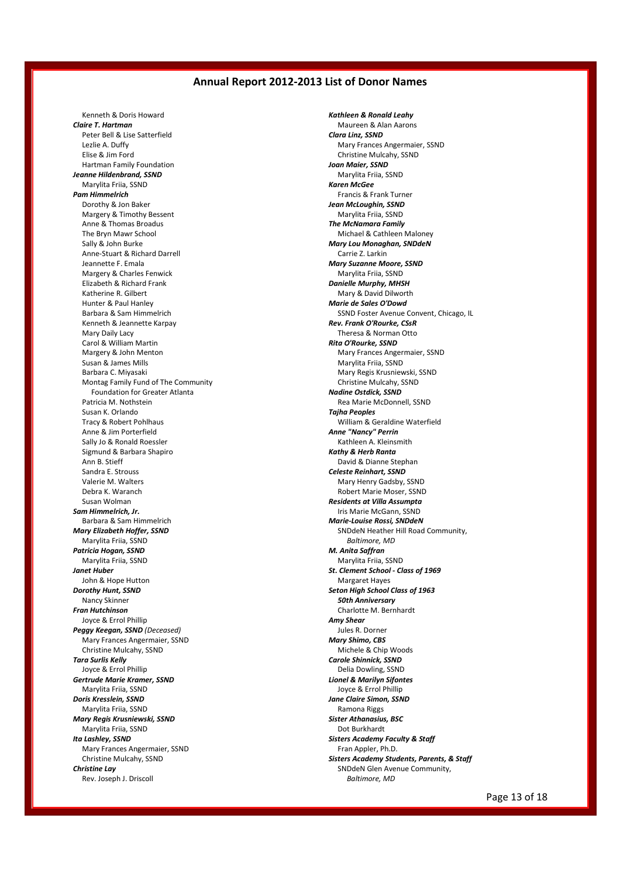Kenneth & Doris Howard *Claire T. Hartman* Peter Bell & Lise Satterfield Lezlie A. Duffy Elise & Jim Ford Hartman Family Foundation *Jeanne Hildenbrand, SSND* Marylita Friia, SSND *Pam Himmelrich* Dorothy & Jon Baker Margery & Timothy Bessent Anne & Thomas Broadus The Bryn Mawr School Sally & John Burke Anne-Stuart & Richard Darrell Jeannette F. Emala Margery & Charles Fenwick Elizabeth & Richard Frank Katherine R. Gilbert Hunter & Paul Hanley Barbara & Sam Himmelrich Kenneth & Jeannette Karpay Mary Daily Lacy Carol & William Martin Margery & John Menton Susan & James Mills Barbara C. Miyasaki Montag Family Fund of The Community Foundation for Greater Atlanta Patricia M. Nothstein Susan K. Orlando Tracy & Robert Pohlhaus Anne & Jim Porterfield Sally Jo & Ronald Roessler Sigmund & Barbara Shapiro Ann B. Stieff Sandra E. Strouss Valerie M. Walters Debra K. Waranch Susan Wolman *Sam Himmelrich, Jr.* Barbara & Sam Himmelrich *Mary Elizabeth Hoffer, SSND* Marylita Friia, SSND *Patricia Hogan, SSND* Marylita Friia, SSND *Janet Huber* John & Hope Hutton *Dorothy Hunt, SSND* Nancy Skinner *Fran Hutchinson* Joyce & Errol Phillip *Peggy Keegan, SSND (Deceased)* Mary Frances Angermaier, SSND Christine Mulcahy, SSND *Tara Surlis Kelly* Joyce & Errol Phillip *Gertrude Marie Kramer, SSND* Marylita Friia, SSND *Doris Kresslein, SSND* Marylita Friia, SSND *Mary Regis Krusniewski, SSND* Marylita Friia, SSND *Ita Lashley, SSND* Mary Frances Angermaier, SSND Christine Mulcahy, SSND *Christine Lay* Rev. Joseph J. Driscoll

*Kathleen & Ronald Leahy* Maureen & Alan Aarons *Clara Linz, SSND* Mary Frances Angermaier, SSND Christine Mulcahy, SSND *Joan Maier, SSND* Marylita Friia, SSND *Karen McGee* Francis & Frank Turner *Jean McLoughin, SSND* Marylita Friia, SSND *The McNamara Family* Michael & Cathleen Maloney *Mary Lou Monaghan, SNDdeN* Carrie Z. Larkin *Mary Suzanne Moore, SSND* Marylita Friia, SSND *Danielle Murphy, MHSH* Mary & David Dilworth *Marie de Sales O'Dowd* SSND Foster Avenue Convent, Chicago, IL *Rev. Frank O'Rourke, CSsR* Theresa & Norman Otto *Rita O'Rourke, SSND* Mary Frances Angermaier, SSND Marylita Friia, SSND Mary Regis Krusniewski, SSND Christine Mulcahy, SSND *Nadine Ostdick, SSND* Rea Marie McDonnell, SSND *Tajha Peoples* William & Geraldine Waterfield *Anne "Nancy" Perrin* Kathleen A. Kleinsmith *Kathy & Herb Ranta* David & Dianne Stephan *Celeste Reinhart, SSND* Mary Henry Gadsby, SSND Robert Marie Moser, SSND *Residents at Villa Assumpta* Iris Marie McGann, SSND *Marie-Louise Rossi, SNDdeN* SNDdeN Heather Hill Road Community, *Baltimore, MD M. Anita Saffran* Marylita Friia, SSND *St. Clement School - Class of 1969* Margaret Hayes *Seton High School Class of 1963 50th Anniversary* Charlotte M. Bernhardt *Amy Shear* Jules R. Dorner *Mary Shimo, CBS* Michele & Chip Woods *Carole Shinnick, SSND* Delia Dowling, SSND *Lionel & Marilyn Sifontes* Joyce & Errol Phillip *Jane Claire Simon, SSND* Ramona Riggs *Sister Athanasius, BSC* Dot Burkhardt *Sisters Academy Faculty & Staff* Fran Appler, Ph.D. *Sisters Academy Students, Parents, & Staff* SNDdeN Glen Avenue Community, *Baltimore, MD*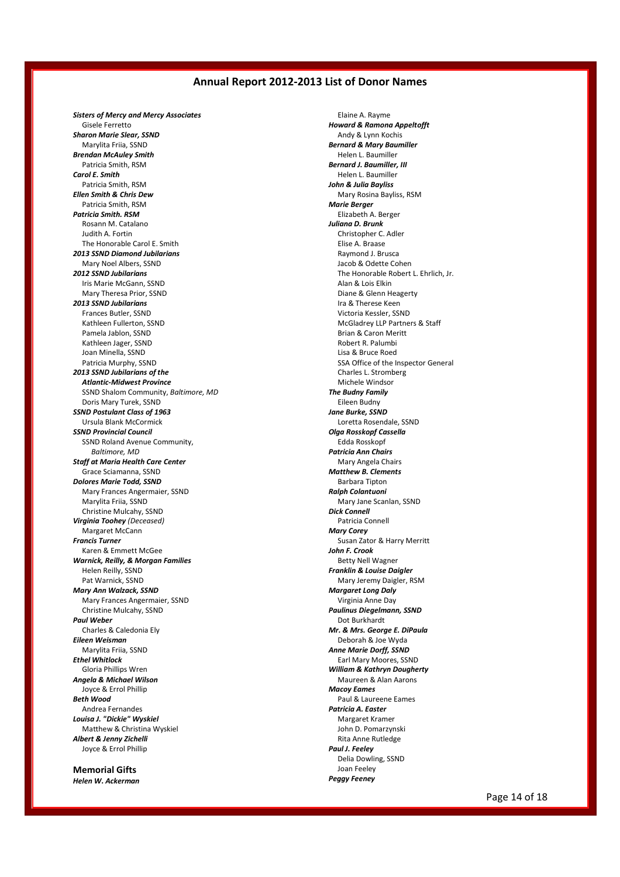*Sisters of Mercy and Mercy Associates* Gisele Ferretto *Sharon Marie Slear, SSND* Marylita Friia, SSND *Brendan McAuley Smith* Patricia Smith, RSM *Carol E. Smith* Patricia Smith, RSM *Ellen Smith & Chris Dew* Patricia Smith, RSM *Patricia Smith. RSM* Rosann M. Catalano Judith A. Fortin The Honorable Carol E. Smith *2013 SSND Diamond Jubilarians* Mary Noel Albers, SSND *2012 SSND Jubilarians* Iris Marie McGann, SSND Mary Theresa Prior, SSND *2013 SSND Jubilarians* Frances Butler, SSND Kathleen Fullerton, SSND Pamela Jablon, SSND Kathleen Jager, SSND Joan Minella, SSND Patricia Murphy, SSND *2013 SSND Jubilarians of the Atlantic-Midwest Province* SSND Shalom Community, *Baltimore, MD* Doris Mary Turek, SSND *SSND Postulant Class of 1963* Ursula Blank McCormick *SSND Provincial Council* SSND Roland Avenue Community, *Baltimore, MD Staff at Maria Health Care Center* Grace Sciamanna, SSND *Dolores Marie Todd, SSND* Mary Frances Angermaier, SSND Marylita Friia, SSND Christine Mulcahy, SSND *Virginia Toohey (Deceased)* Margaret McCann *Francis Turner* Karen & Emmett McGee *Warnick, Reilly, & Morgan Families* Helen Reilly, SSND Pat Warnick, SSND *Mary Ann Walzack, SSND* Mary Frances Angermaier, SSND Christine Mulcahy, SSND *Paul Weber* Charles & Caledonia Ely *Eileen Weisman* Marylita Friia, SSND *Ethel Whitlock* Gloria Phillips Wren *Angela & Michael Wilson* Joyce & Errol Phillip *Beth Wood* Andrea Fernandes *Louisa J. "Dickie" Wyskiel* Matthew & Christina Wyskiel *Albert & Jenny Zichelli* Joyce & Errol Phillip

**Memorial Gifts** *Helen W. Ackerman*

Elaine A. Rayme *Howard & Ramona Appeltofft* Andy & Lynn Kochis *Bernard & Mary Baumiller* Helen L. Baumiller *Bernard J. Baumiller, III* Helen L. Baumiller *John & Julia Bayliss* Mary Rosina Bayliss, RSM *Marie Berger* Elizabeth A. Berger *Juliana D. Brunk* Christopher C. Adler Elise A. Braase Raymond J. Brusca Jacob & Odette Cohen The Honorable Robert L. Ehrlich, Jr. Alan & Lois Elkin Diane & Glenn Heagerty Ira & Therese Keen Victoria Kessler, SSND McGladrey LLP Partners & Staff Brian & Caron Meritt Robert R. Palumbi Lisa & Bruce Roed SSA Office of the Inspector General Charles L. Stromberg Michele Windsor *The Budny Family* Eileen Budny *Jane Burke, SSND* Loretta Rosendale, SSND *Olga Rosskopf Cassella* Edda Rosskopf *Patricia Ann Chairs* Mary Angela Chairs *Matthew B. Clements* Barbara Tipton *Ralph Colantuoni* Mary Jane Scanlan, SSND *Dick Connell* Patricia Connell *Mary Corey* Susan Zator & Harry Merritt *John F. Crook* Betty Nell Wagner *Franklin & Louise Daigler* Mary Jeremy Daigler, RSM *Margaret Long Daly* Virginia Anne Day *Paulinus Diegelmann, SSND* Dot Burkhardt *Mr. & Mrs. George E. DiPaula* Deborah & Joe Wyda *Anne Marie Dorff, SSND* Earl Mary Moores, SSND *William & Kathryn Dougherty* Maureen & Alan Aarons *Macoy Eames* Paul & Laureene Eames *Patricia A. Easter* Margaret Kramer John D. Pomarzynski Rita Anne Rutledge *Paul J. Feeley* Delia Dowling, SSND Joan Feeley *Peggy Feeney*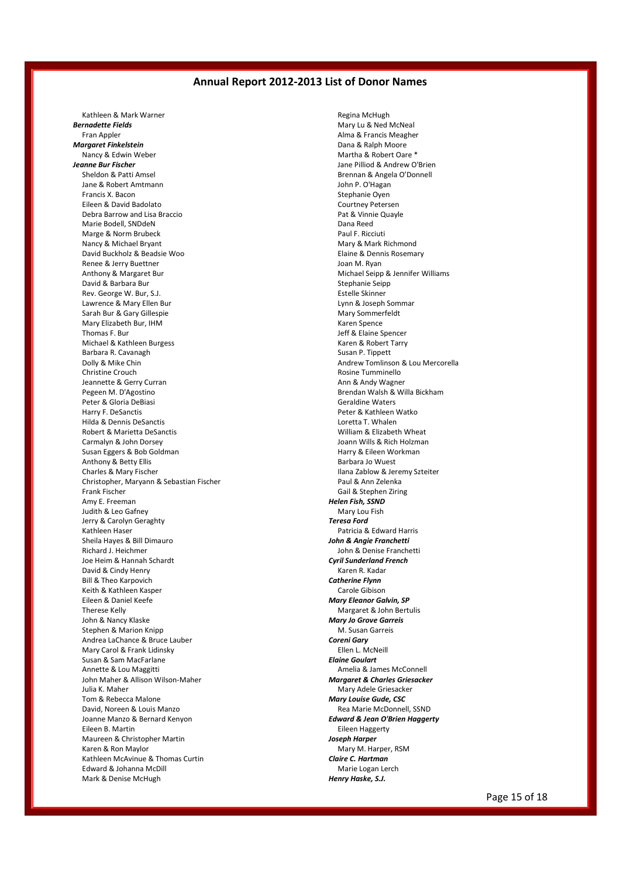Kathleen & Mark Warner *Bernadette Fields* Fran Appler *Margaret Finkelstein* Nancy & Edwin Weber *Jeanne Bur Fischer* Sheldon & Patti Amsel Jane & Robert Amtmann Francis X. Bacon Eileen & David Badolato Debra Barrow and Lisa Braccio Marie Bodell, SNDdeN Marge & Norm Brubeck Nancy & Michael Bryant David Buckholz & Beadsie Woo Renee & Jerry Buettner Anthony & Margaret Bur David & Barbara Bur Rev. George W. Bur, S.J. Lawrence & Mary Ellen Bur Sarah Bur & Gary Gillespie Mary Elizabeth Bur, IHM Thomas F. Bur Michael & Kathleen Burgess Barbara R. Cavanagh Dolly & Mike Chin Christine Crouch Jeannette & Gerry Curran Pegeen M. D'Agostino Peter & Gloria DeBiasi Harry F. DeSanctis Hilda & Dennis DeSanctis Robert & Marietta DeSanctis Carmalyn & John Dorsey Susan Eggers & Bob Goldman Anthony & Betty Ellis Charles & Mary Fischer Christopher, Maryann & Sebastian Fischer Frank Fischer Amy E. Freeman Judith & Leo Gafney Jerry & Carolyn Geraghty Kathleen Haser Sheila Hayes & Bill Dimauro Richard J. Heichmer Joe Heim & Hannah Schardt David & Cindy Henry Bill & Theo Karpovich Keith & Kathleen Kasper Eileen & Daniel Keefe Therese Kelly John & Nancy Klaske Stephen & Marion Knipp Andrea LaChance & Bruce Lauber Mary Carol & Frank Lidinsky Susan & Sam MacFarlane Annette & Lou Maggitti John Maher & Allison Wilson-Maher Julia K. Maher Tom & Rebecca Malone David, Noreen & Louis Manzo Joanne Manzo & Bernard Kenyon Eileen B. Martin Maureen & Christopher Martin Karen & Ron Maylor Kathleen McAvinue & Thomas Curtin Edward & Johanna McDill Mark & Denise McHugh

Regina McHugh Mary Lu & Ned McNeal Alma & Francis Meagher Dana & Ralph Moore Martha & Robert Oare \* Jane Pilliod & Andrew O'Brien Brennan & Angela O'Donnell John P. O'Hagan Stephanie Oyen Courtney Petersen Pat & Vinnie Quayle Dana Reed Paul F. Ricciuti Mary & Mark Richmond Elaine & Dennis Rosemary Joan M. Ryan Michael Seipp & Jennifer Williams Stephanie Seipp Estelle Skinner Lynn & Joseph Sommar Mary Sommerfeldt Karen Spence Jeff & Elaine Spencer Karen & Robert Tarry Susan P. Tippett Andrew Tomlinson & Lou Mercorella Rosine Tumminello Ann & Andy Wagner Brendan Walsh & Willa Bickham Geraldine Waters Peter & Kathleen Watko Loretta T. Whalen William & Elizabeth Wheat Joann Wills & Rich Holzman Harry & Eileen Workman Barbara Jo Wuest Ilana Zablow & Jeremy Szteiter Paul & Ann Zelenka Gail & Stephen Ziring *Helen Fish, SSND* Mary Lou Fish *Teresa Ford* Patricia & Edward Harris *John & Angie Franchetti* John & Denise Franchetti *Cyril Sunderland French* Karen R. Kadar *Catherine Flynn* Carole Gibison *Mary Eleanor Galvin, SP* Margaret & John Bertulis *Mary Jo Grove Garreis* M. Susan Garreis *Coreni Gary* Ellen L. McNeill *Elaine Goulart* Amelia & James McConnell *Margaret & Charles Griesacker* Mary Adele Griesacker *Mary Louise Gude, CSC* Rea Marie McDonnell, SSND *Edward & Jean O'Brien Haggerty* Eileen Haggerty *Joseph Harper* Mary M. Harper, RSM *Claire C. Hartman* Marie Logan Lerch *Henry Haske, S.J.*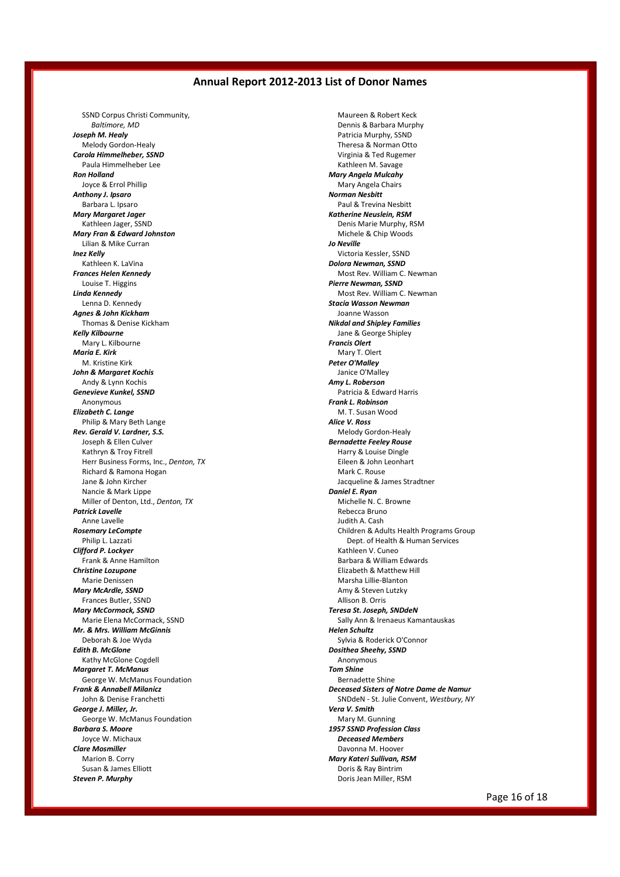SSND Corpus Christi Community, *Baltimore, MD Joseph M. Healy* Melody Gordon-Healy *Carola Himmelheber, SSND* Paula Himmelheber Lee *Ron Holland* Joyce & Errol Phillip *Anthony J. Ipsaro* Barbara L. Ipsaro *Mary Margaret Jager* Kathleen Jager, SSND *Mary Fran & Edward Johnston* Lilian & Mike Curran *Inez Kelly* Kathleen K. LaVina *Frances Helen Kennedy* Louise T. Higgins *Linda Kennedy* Lenna D. Kennedy *Agnes & John Kickham* Thomas & Denise Kickham *Kelly Kilbourne* Mary L. Kilbourne *Maria E. Kirk* M. Kristine Kirk *John & Margaret Kochis* Andy & Lynn Kochis *Genevieve Kunkel, SSND* Anonymous *Elizabeth C. Lange* Philip & Mary Beth Lange *Rev. Gerald V. Lardner, S.S.* Joseph & Ellen Culver Kathryn & Troy Fitrell Herr Business Forms, Inc., *Denton, TX* Richard & Ramona Hogan Jane & John Kircher Nancie & Mark Lippe Miller of Denton, Ltd., *Denton, TX Patrick Lavelle* Anne Lavelle *Rosemary LeCompte* Philip L. Lazzati *Clifford P. Lockyer* Frank & Anne Hamilton *Christine Lozupone* Marie Denissen *Mary McArdle, SSND* Frances Butler, SSND *Mary McCormack, SSND* Marie Elena McCormack, SSND *Mr. & Mrs. William McGinnis* Deborah & Joe Wyda *Edith B. McGlone* Kathy McGlone Cogdell *Margaret T. McManus* George W. McManus Foundation *Frank & Annabell Milanicz* John & Denise Franchetti *George J. Miller, Jr.* George W. McManus Foundation *Barbara S. Moore* Joyce W. Michaux *Clare Mosmiller* Marion B. Corry Susan & James Elliott *Steven P. Murphy*

Maureen & Robert Keck Dennis & Barbara Murphy Patricia Murphy, SSND Theresa & Norman Otto Virginia & Ted Rugemer Kathleen M. Savage *Mary Angela Mulcahy* Mary Angela Chairs *Norman Nesbitt* Paul & Trevina Nesbitt *Katherine Neuslein, RSM* Denis Marie Murphy, RSM Michele & Chip Woods *Jo Neville* Victoria Kessler, SSND *Dolora Newman, SSND* Most Rev. William C. Newman *Pierre Newman, SSND* Most Rev. William C. Newman *Stacia Wasson Newman* Joanne Wasson *Nikdal and Shipley Families* Jane & George Shipley *Francis Olert* Mary T. Olert *Peter O'Malley* Janice O'Malley *Amy L. Roberson* Patricia & Edward Harris *Frank L. Robinson* M. T. Susan Wood *Alice V. Ross* Melody Gordon-Healy *Bernadette Feeley Rouse* Harry & Louise Dingle Eileen & John Leonhart Mark C. Rouse Jacqueline & James Stradtner *Daniel E. Ryan* Michelle N. C. Browne Rebecca Bruno Judith A. Cash Children & Adults Health Programs Group Dept. of Health & Human Services Kathleen V. Cuneo Barbara & William Edwards Elizabeth & Matthew Hill Marsha Lillie-Blanton Amy & Steven Lutzky Allison B. Orris *Teresa St. Joseph, SNDdeN* Sally Ann & Irenaeus Kamantauskas *Helen Schultz* Sylvia & Roderick O'Connor *Dosithea Sheehy, SSND* Anonymous *Tom Shine* Bernadette Shine *Deceased Sisters of Notre Dame de Namur* SNDdeN - St. Julie Convent, *Westbury, NY Vera V. Smith* Mary M. Gunning *1957 SSND Profession Class Deceased Members* Davonna M. Hoover *Mary Kateri Sullivan, RSM* Doris & Ray Bintrim Doris Jean Miller, RSM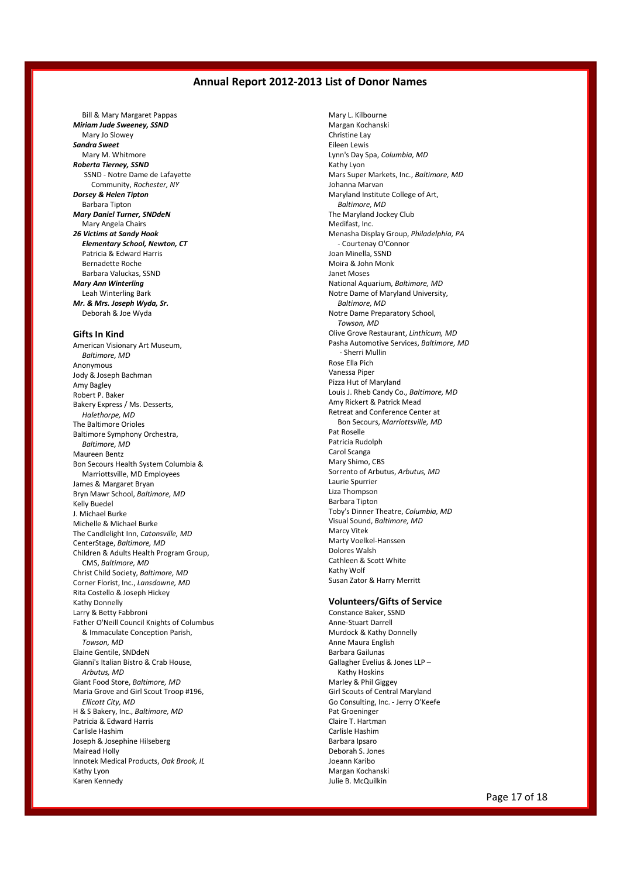Bill & Mary Margaret Pappas *Miriam Jude Sweeney, SSND* Mary Jo Slowey *Sandra Sweet* Mary M. Whitmore *Roberta Tierney, SSND* SSND - Notre Dame de Lafayette Community, *Rochester, NY Dorsey & Helen Tipton* Barbara Tipton *Mary Daniel Turner, SNDdeN* Mary Angela Chairs *26 Victims at Sandy Hook Elementary School, Newton, CT* Patricia & Edward Harris Bernadette Roche Barbara Valuckas, SSND *Mary Ann Winterling* Leah Winterling Bark *Mr. & Mrs. Joseph Wyda, Sr.* Deborah & Joe Wyda

#### **Gifts In Kind**

American Visionary Art Museum, *Baltimore, MD* Anonymous Jody & Joseph Bachman Amy Bagley Robert P. Baker Bakery Express / Ms. Desserts, *Halethorpe, MD* The Baltimore Orioles Baltimore Symphony Orchestra, *Baltimore, MD* Maureen Bentz Bon Secours Health System Columbia & Marriottsville, MD Employees James & Margaret Bryan Bryn Mawr School, *Baltimore, MD* Kelly Buedel J. Michael Burke Michelle & Michael Burke The Candlelight Inn, *Catonsville, MD* CenterStage, *Baltimore, MD* Children & Adults Health Program Group, CMS, *Baltimore, MD* Christ Child Society, *Baltimore, MD* Corner Florist, Inc., *Lansdowne, MD* Rita Costello & Joseph Hickey Kathy Donnelly Larry & Betty Fabbroni Father O'Neill Council Knights of Columbus & Immaculate Conception Parish, *Towson, MD* Elaine Gentile, SNDdeN Gianni's Italian Bistro & Crab House, *Arbutus, MD* Giant Food Store, *Baltimore, MD* Maria Grove and Girl Scout Troop #196, *Ellicott City, MD* H & S Bakery, Inc., *Baltimore, MD* Patricia & Edward Harris Carlisle Hashim Joseph & Josephine Hilseberg Mairead Holly Innotek Medical Products, *Oak Brook, IL* Kathy Lyon Karen Kennedy

Mary L. Kilbourne Margan Kochanski Christine Lay Eileen Lewis Lynn's Day Spa, *Columbia, MD* Kathy Lyon Mars Super Markets, Inc., *Baltimore, MD* Johanna Marvan Maryland Institute College of Art, *Baltimore, MD* The Maryland Jockey Club Medifast, Inc. Menasha Display Group, *Philadelphia, PA* - Courtenay O'Connor Joan Minella, SSND Moira & John Monk Janet Moses National Aquarium, *Baltimore, MD* Notre Dame of Maryland University, *Baltimore, MD* Notre Dame Preparatory School, *Towson, MD* Olive Grove Restaurant, *Linthicum, MD* Pasha Automotive Services, *Baltimore, MD* - Sherri Mullin Rose Ella Pich Vanessa Piper Pizza Hut of Maryland Louis J. Rheb Candy Co., *Baltimore, MD* Amy Rickert & Patrick Mead Retreat and Conference Center at Bon Secours, *Marriottsville, MD* Pat Roselle Patricia Rudolph Carol Scanga Mary Shimo, CBS Sorrento of Arbutus, *Arbutus, MD* Laurie Spurrier Liza Thompson Barbara Tipton Toby's Dinner Theatre, *Columbia, MD* Visual Sound, *Baltimore, MD* Marcy Vitek Marty Voelkel-Hanssen Dolores Walsh Cathleen & Scott White Kathy Wolf Susan Zator & Harry Merritt

#### **Volunteers/Gifts of Service**

Constance Baker, SSND Anne-Stuart Darrell Murdock & Kathy Donnelly Anne Maura English Barbara Gailunas Gallagher Evelius & Jones LLP – Kathy Hoskins Marley & Phil Giggey Girl Scouts of Central Maryland Go Consulting, Inc. - Jerry O'Keefe Pat Groeninger Claire T. Hartman Carlisle Hashim Barbara Ipsaro Deborah S. Jones Joeann Karibo Margan Kochanski Julie B. McQuilkin